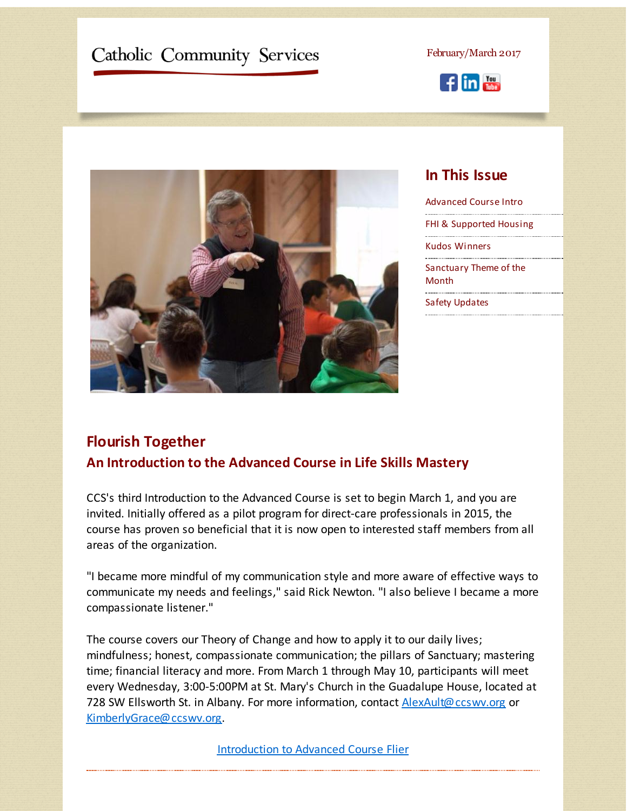# <span id="page-0-0"></span>Catholic Community Services

February/March 2017





### **In This Issue**

[Advanced](#page-0-0) Course Intro FHI & [Supported](#page-0-0) Housing Kudos [Winners](#page-0-0) [Sanctuary](#page-0-0) Theme of the **Month** Safety [Updates](#page-0-0)

## **Flourish Together An Introduction to the Advanced Course in Life Skills Mastery**

CCS's third Introduction to the Advanced Course is set to begin March 1, and you are invited. Initially offered as a pilot program for direct-care professionals in 2015, the course has proven so beneficial that it is now open to interested staff members from all areas of the organization.

"I became more mindful of my communication style and more aware of effective ways to communicate my needs and feelings," said Rick Newton. "I also believe I became a more compassionate listener."

The course covers our Theory of Change and how to apply it to our daily lives; mindfulness; honest, compassionate communication; the pillars of Sanctuary; mastering time; financial literacy and more. From March 1 through May 10, participants will meet every Wednesday, 3:00-5:00PM at St. Mary's Church in the Guadalupe House, located at 728 SW Ellsworth St. in Albany. For more information, contact **[AlexAult@ccswv.org](mailto:AlexAult@ccswv.org)** or [KimberlyGrace@ccswv.org](mailto:KimberlyGrace@ccswv.org).

[Introduction](http://r20.rs6.net/tn.jsp?f=001GWnGAmueddO744fyWC1nlrWvKA0Tn_wsg_SamZq_cFJrGV3s4GBZZgjbjvswooOWhEL6eFoJ8neama0t3NrQSecWPexrXb-01PugDXFzHgYAvXQAqXvplgRi1mKAnnatJcYNUsQ6FV1uRMQf5JoQlUR4gk--DH-bshcOHbnQTN6Tt8vgybXUUDNWngx4U2pvhs5tIgsOn7dpAPq8-kjj7taBbJ7uKynVsdicSOrA_eGlXzDT98B9Q2ayuLXnB7Aw&c=&ch=) to Advanced Course Flier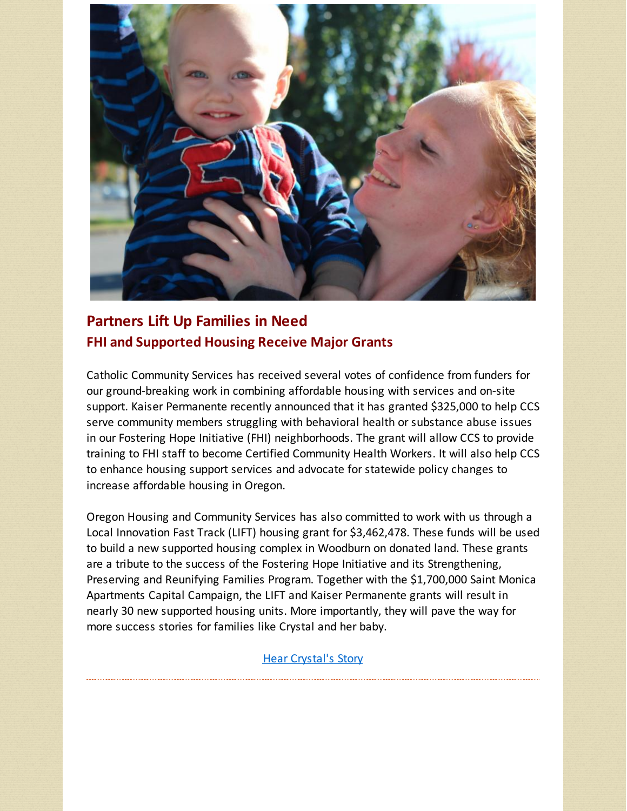

# **Partners Lift Up Families in Need FHI and Supported Housing Receive Major Grants**

Catholic Community Services has received several votes of confidence from funders for our ground-breaking work in combining affordable housing with services and on-site support. Kaiser Permanente recently announced that it has granted \$325,000 to help CCS serve community members struggling with behavioral health or substance abuse issues in our Fostering Hope Initiative (FHI) neighborhoods. The grant will allow CCS to provide training to FHI staff to become Certified Community Health Workers. It will also help CCS to enhance housing support services and advocate for statewide policy changes to increase affordable housing in Oregon.

Oregon Housing and Community Services has also committed to work with us through a Local Innovation Fast Track (LIFT) housing grant for \$3,462,478. These funds will be used to build a new supported housing complex in Woodburn on donated land. These grants are a tribute to the success of the Fostering Hope Initiative and its Strengthening, Preserving and Reunifying Families Program. Together with the \$1,700,000 Saint Monica Apartments Capital Campaign, the LIFT and Kaiser Permanente grants will result in nearly 30 new supported housing units. More importantly, they will pave the way for more success stories for families like Crystal and her baby.

Hear [Crystal's](http://r20.rs6.net/tn.jsp?f=001GWnGAmueddO744fyWC1nlrWvKA0Tn_wsg_SamZq_cFJrGV3s4GBZZofuNtkMm0ZAc2-SunTJv6EcsrXePD2xr6d51fgLcJ0dARfNqHsoonoRilxLe50NSBWwHDFF1rg47jbaq4Kc8wmB51MxXeM67ynPUNuxBUGyfbLRGGTaTIZ8SzUXK-fqRIGUqsdTzzJC9u1HqOTMcp9n_0CVG_PLCLjKzhppPE6BQorkhbFIYBs=&c=&ch=) Story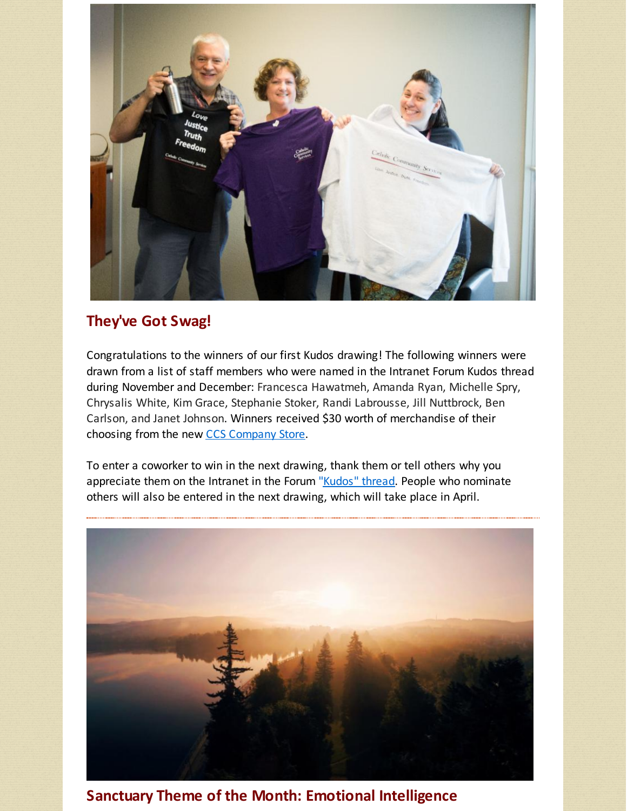

## **They've Got Swag!**

Congratulations to the winners of our first Kudos drawing! The following winners were drawn from a list of staff members who were named in the Intranet Forum Kudos thread during November and December: Francesca Hawatmeh, Amanda Ryan, Michelle Spry, Chrysalis White, Kim Grace, Stephanie Stoker, Randi Labrousse, Jill Nuttbrock, Ben Carlson, and Janet Johnson. Winners received \$30 worth of merchandise of their choosing from the new CCS [Company](http://r20.rs6.net/tn.jsp?f=001GWnGAmueddO744fyWC1nlrWvKA0Tn_wsg_SamZq_cFJrGV3s4GBZZofuNtkMm0ZAfmwIqwOlm3bd_Rnsxk16N8Zk8GExo1EuMrUYNSfdKiEGYA8qKnejLLG6nYJA47TeYVZqaU3A6p-DyPFa0u19pBE3aQSgxXz6gM1YPZmBrXtLuO7fxdb-RA==&c=&ch=) Store.

To enter a coworker to win in the next drawing, thank them or tell others why you appreciate them on the Intranet in the Forum ["Kudos"](http://r20.rs6.net/tn.jsp?f=001GWnGAmueddO744fyWC1nlrWvKA0Tn_wsg_SamZq_cFJrGV3s4GBZZv0ReAIW5xGOqNiPY1AO2K8S26xqTrbDEqnyvB9sxwstuhSij746f9pElpkU2N95Uf9YQn-etqlS3dKyi9_5TD5_qwsRtimmkiosxiTqQ7LIyHpfRG8Zl37Eg4ANNQ0E-Cz3MIFpPxvclJFQ4my-Mzo=&c=&ch=) thread. People who nominate others will also be entered in the next drawing, which will take place in April.



**Sanctuary Theme of the Month: Emotional Intelligence**